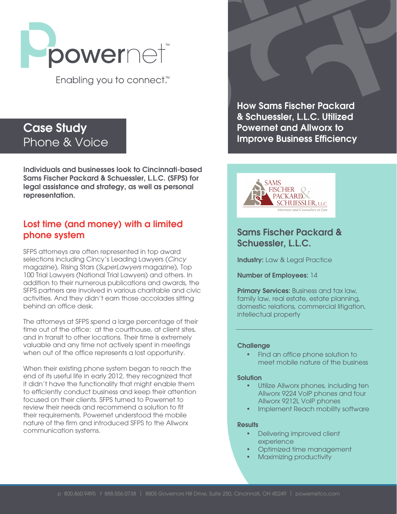

Enabling you to connect.<sup>™</sup>

# Case Study Phone & Voice

Individuals and businesses look to Cincinnati-based Sams Fischer Packard & Schuessler, L.L.C. (SFPS) for legal assistance and strategy, as well as personal representation.

### Lost time (and money) with a limited phone system

SFPS attorneys are often represented in top award selections including Cincy's Leading Lawyers (*Cincy* magazine), Rising Stars (*SuperLawyers* magazine), Top 100 Trial Lawyers (National Trial Lawyers) and others. In addition to their numerous publications and awards, the SFPS partners are involved in various charitable and civic activities. And they didn't earn those accolades sitting behind an office desk.

The attorneys at SFPS spend a large percentage of their time out of the office: at the courthouse, at client sites, and in transit to other locations. Their time is extremely valuable and any time not actively spent in meetings when out of the office represents a lost opportunity.

When their existing phone system began to reach the end of its useful life in early 2012, they recognized that it didn't have the functionality that might enable them to efficiently conduct business and keep their attention focused on their clients. SFPS turned to Powernet to review their needs and recommend a solution to fit their requirements. Powernet understood the mobile nature of the firm and introduced SFPS to the Allworx communication systems.

How Sams Fischer Packard & Schuessler, L.L.C. Utilized Powernet and Allworx to Improve Business Efficiency



### Sams Fischer Packard & Schuessler, L.L.C.

Industry: Law & Legal Practice

Number of Employees: 14

**Primary Services:** Business and tax law, family law, real estate, estate planning, domestic relations, commercial litigation, intellectual property

#### **Challenge**

• Find an office phone solution to meet mobile nature of the business

#### Solution

- Utilize Allworx phones, including ten Allworx 9224 VoIP phones and four Allworx 9212L VoIP phones
- Implement Reach mobility software

#### **Results**

- Delivering improved client experience
- Optimized time management
- Maximizing productivity